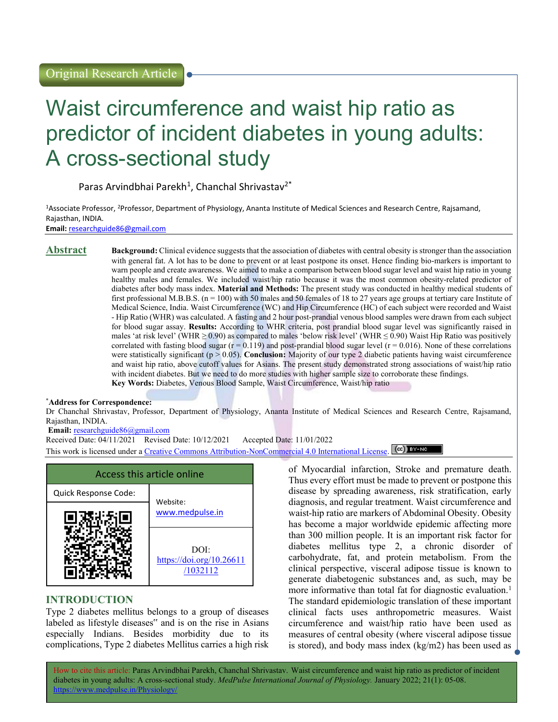# Waist circumference and waist hip ratio as predictor of incident diabetes in young adults: A cross-sectional study

Paras Arvindbhai Parekh<sup>1</sup>, Chanchal Shrivastav<sup>2\*</sup>

<sup>1</sup>Associate Professor, <sup>2</sup>Professor, Department of Physiology, Ananta Institute of Medical Sciences and Research Centre, Rajsamand, Rajasthan, INDIA.

Email: researchguide86@gmail.com

**Abstract** Background: Clinical evidence suggests that the association of diabetes with central obesity is stronger than the association with general fat. A lot has to be done to prevent or at least postpone its onset. Hence finding bio-markers is important to warn people and create awareness. We aimed to make a comparison between blood sugar level and waist hip ratio in young healthy males and females. We included waist/hip ratio because it was the most common obesity-related predictor of diabetes after body mass index. Material and Methods: The present study was conducted in healthy medical students of first professional M.B.B.S.  $(n = 100)$  with 50 males and 50 females of 18 to 27 years age groups at tertiary care Institute of Medical Science, India. Waist Circumference (WC) and Hip Circumference (HC) of each subject were recorded and Waist - Hip Ratio (WHR) was calculated. A fasting and 2 hour post-prandial venous blood samples were drawn from each subject for blood sugar assay. Results: According to WHR criteria, post prandial blood sugar level was significantly raised in males 'at risk level' (WHR ≥ 0.90) as compared to males 'below risk level' (WHR  $\leq$  0.90) Waist Hip Ratio was positively correlated with fasting blood sugar  $(r = 0.119)$  and post-prandial blood sugar level  $(r = 0.016)$ . None of these correlations were statistically significant ( $p > 0.05$ ). Conclusion: Majority of our type 2 diabetic patients having waist circumference and waist hip ratio, above cutoff values for Asians. The present study demonstrated strong associations of waist/hip ratio with incident diabetes. But we need to do more studies with higher sample size to corroborate these findings. Key Words: Diabetes, Venous Blood Sample, Waist Circumference, Waist/hip ratio

### \*Address for Correspondence:

Dr Chanchal Shrivastav, Professor, Department of Physiology, Ananta Institute of Medical Sciences and Research Centre, Rajsamand, Rajasthan, INDIA.

Email: researchguide86@gmail.com

Received Date: 04/11/2021 Revised Date: 10/12/2021 Accepted Date: 11/01/2022 This work is licensed under a Creative Commons Attribution-NonCommercial 4.0 International License. (CC) BY-NO

|                      | Access this article online                   |
|----------------------|----------------------------------------------|
| Quick Response Code: | Website:                                     |
|                      | www.medpulse.in                              |
|                      | DOI:<br>https://doi.org/10.26611<br>/1032112 |

# INTRODUCTION

Type 2 diabetes mellitus belongs to a group of diseases labeled as lifestyle diseases" and is on the rise in Asians especially Indians. Besides morbidity due to its complications, Type 2 diabetes Mellitus carries a high risk of Myocardial infarction, Stroke and premature death. Thus every effort must be made to prevent or postpone this disease by spreading awareness, risk stratification, early diagnosis, and regular treatment. Waist circumference and waist-hip ratio are markers of Abdominal Obesity. Obesity has become a major worldwide epidemic affecting more than 300 million people. It is an important risk factor for diabetes mellitus type 2, a chronic disorder of carbohydrate, fat, and protein metabolism. From the clinical perspective, visceral adipose tissue is known to generate diabetogenic substances and, as such, may be more informative than total fat for diagnostic evaluation.<sup>1</sup> The standard epidemiologic translation of these important clinical facts uses anthropometric measures. Waist circumference and waist/hip ratio have been used as measures of central obesity (where visceral adipose tissue is stored), and body mass index (kg/m2) has been used as

How to cite this article: Paras Arvindbhai Parekh, Chanchal Shrivastav. Waist circumference and waist hip ratio as predictor of incident diabetes in young adults: A cross-sectional study. MedPulse International Journal of Physiology. January 2022; 21(1): 05-08. https://www.medpulse.in/Physiology/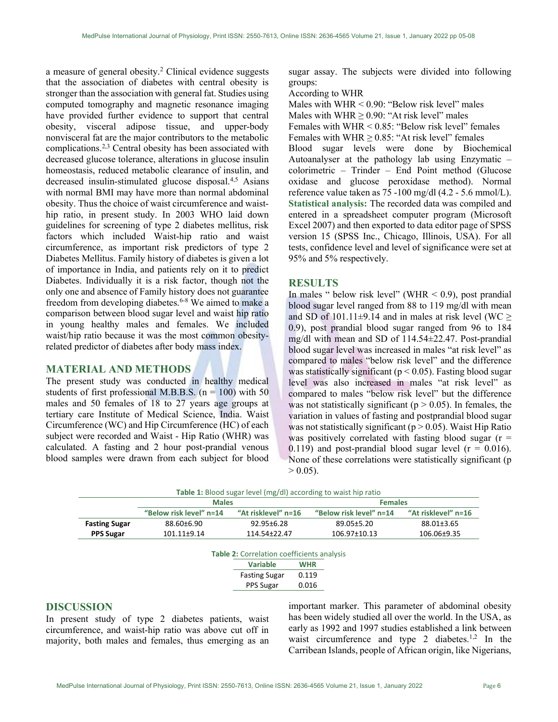a measure of general obesity.<sup>2</sup> Clinical evidence suggests that the association of diabetes with central obesity is stronger than the association with general fat. Studies using computed tomography and magnetic resonance imaging have provided further evidence to support that central obesity, visceral adipose tissue, and upper-body nonvisceral fat are the major contributors to the metabolic complications.2,3 Central obesity has been associated with decreased glucose tolerance, alterations in glucose insulin homeostasis, reduced metabolic clearance of insulin, and decreased insulin-stimulated glucose disposal.<sup>4,5</sup> Asians with normal BMI may have more than normal abdominal obesity. Thus the choice of waist circumference and waisthip ratio, in present study. In 2003 WHO laid down guidelines for screening of type 2 diabetes mellitus, risk factors which included Waist-hip ratio and waist circumference, as important risk predictors of type 2 Diabetes Mellitus. Family history of diabetes is given a lot of importance in India, and patients rely on it to predict Diabetes. Individually it is a risk factor, though not the only one and absence of Family history does not guarantee freedom from developing diabetes.6-8 We aimed to make a comparison between blood sugar level and waist hip ratio in young healthy males and females. We included waist/hip ratio because it was the most common obesityrelated predictor of diabetes after body mass index.

# MATERIAL AND METHODS

The present study was conducted in healthy medical students of first professional M.B.B.S. ( $n = 100$ ) with 50 males and 50 females of 18 to 27 years age groups at tertiary care Institute of Medical Science, India. Waist Circumference (WC) and Hip Circumference (HC) of each subject were recorded and Waist - Hip Ratio (WHR) was calculated. A fasting and 2 hour post-prandial venous blood samples were drawn from each subject for blood

sugar assay. The subjects were divided into following groups:

#### According to WHR

Males with WHR < 0.90: "Below risk level" males

Males with WHR  $\geq$  0.90: "At risk level" males

Females with WHR < 0.85: "Below risk level" females

Females with WHR  $\geq$  0.85: "At risk level" females

Blood sugar levels were done by Biochemical Autoanalyser at the pathology lab using Enzymatic – colorimetric – Trinder – End Point method (Glucose oxidase and glucose peroxidase method). Normal reference value taken as 75 -100 mg/dl (4.2 - 5.6 mmol/L). Statistical analysis: The recorded data was compiled and entered in a spreadsheet computer program (Microsoft Excel 2007) and then exported to data editor page of SPSS version 15 (SPSS Inc., Chicago, Illinois, USA). For all tests, confidence level and level of significance were set at 95% and 5% respectively.

# **RESULTS**

In males " below risk level" (WHR  $<$  0.9), post prandial blood sugar level ranged from 88 to 119 mg/dl with mean and SD of 101.11 $\pm$ 9.14 and in males at risk level (WC  $\geq$ 0.9), post prandial blood sugar ranged from 96 to 184 mg/dl with mean and SD of 114.54±22.47. Post-prandial blood sugar level was increased in males "at risk level" as compared to males "below risk level" and the difference was statistically significant ( $p < 0.05$ ). Fasting blood sugar level was also increased in males "at risk level" as compared to males "below risk level" but the difference was not statistically significant ( $p > 0.05$ ). In females, the variation in values of fasting and postprandial blood sugar was not statistically significant ( $p > 0.05$ ). Waist Hip Ratio was positively correlated with fasting blood sugar  $(r =$ 0.119) and post-prandial blood sugar level ( $r = 0.016$ ). None of these correlations were statistically significant (p  $> 0.05$ ).

|                      | <b>Males</b>            |                                                   |                     | <b>Females</b>          |                     |
|----------------------|-------------------------|---------------------------------------------------|---------------------|-------------------------|---------------------|
|                      | "Below risk level" n=14 | "At risklevel" n=16                               |                     | "Below risk level" n=14 | "At risklevel" n=16 |
| <b>Fasting Sugar</b> | 88.60±6.90              | 92.95±6.28                                        |                     | 89.05±5.20              | 88.01±3.65          |
| <b>PPS Sugar</b>     | 101.11±9.14             | 114.54±22.47                                      |                     | 106.97±10.13            | 106.06±9.35         |
|                      |                         |                                                   |                     |                         |                     |
|                      |                         | <b>Table 2: Correlation coefficients analysis</b> |                     |                         |                     |
|                      |                         | <b>Variable</b><br><b>Fasting Sugar</b>           | <b>WHR</b><br>0.119 |                         |                     |

# DISCUSSION

In present study of type 2 diabetes patients, waist circumference, and waist-hip ratio was above cut off in majority, both males and females, thus emerging as an

important marker. This parameter of abdominal obesity has been widely studied all over the world. In the USA, as early as 1992 and 1997 studies established a link between waist circumference and type 2 diabetes.<sup>1,2</sup> In the Carribean Islands, people of African origin, like Nigerians,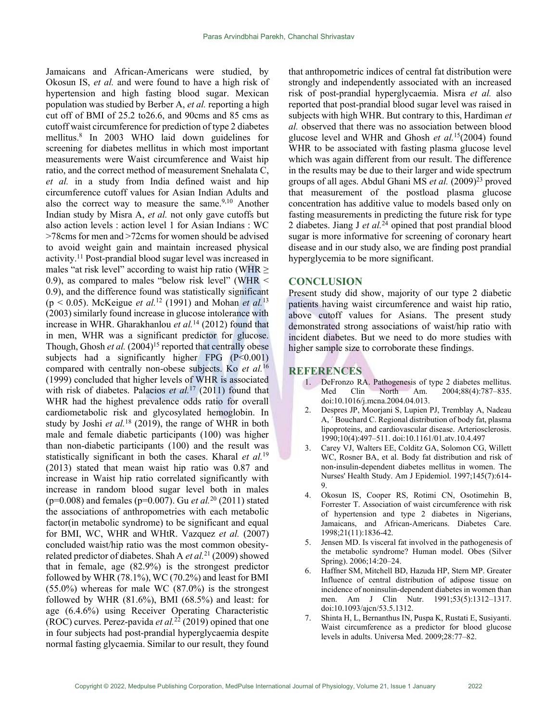Jamaicans and African-Americans were studied, by Okosun IS, et al. and were found to have a high risk of hypertension and high fasting blood sugar. Mexican population was studied by Berber A, et al. reporting a high cut off of BMI of 25.2 to26.6, and 90cms and 85 cms as cutoff waist circumference for prediction of type 2 diabetes mellitus.<sup>8</sup> In 2003 WHO laid down guidelines for screening for diabetes mellitus in which most important measurements were Waist circumference and Waist hip ratio, and the correct method of measurement Snehalata C, et al. in a study from India defined waist and hip circumference cutoff values for Asian Indian Adults and also the correct way to measure the same.<sup>9,10</sup> Another Indian study by Misra A, et al. not only gave cutoffs but also action levels : action level 1 for Asian Indians : WC >78cms for men and >72cms for women should be advised to avoid weight gain and maintain increased physical activity.<sup>11</sup> Post-prandial blood sugar level was increased in males "at risk level" according to waist hip ratio (WHR  $\geq$ 0.9), as compared to males "below risk level" (WHR < 0.9), and the difference found was statistically significant (p < 0.05). McKeigue *et al.*<sup>12</sup> (1991) and Mohan *et al.*<sup>13</sup> (2003) similarly found increase in glucose intolerance with increase in WHR. Gharakhanlou *et al.*<sup>14</sup> (2012) found that in men, WHR was a significant predictor for glucose. Though, Ghosh *et al.*  $(2004)^{15}$  reported that centrally obese subjects had a significantly higher FPG  $(P<0.001)$ compared with centrally non-obese subjects. Ko et al.<sup>16</sup> (1999) concluded that higher levels of WHR is associated with risk of diabetes. Palacios et al.<sup>17</sup> (2011) found that WHR had the highest prevalence odds ratio for overall cardiometabolic risk and glycosylated hemoglobin. In study by Joshi *et al.*<sup>18</sup> (2019), the range of WHR in both male and female diabetic participants (100) was higher than non-diabetic participants (100) and the result was statistically significant in both the cases. Kharal et  $al$ .<sup>19</sup> (2013) stated that mean waist hip ratio was 0.87 and increase in Waist hip ratio correlated significantly with increase in random blood sugar level both in males ( $p=0.008$ ) and females ( $p=0.007$ ). Gu *et al.*<sup>20</sup> (2011) stated the associations of anthropometries with each metabolic factor(in metabolic syndrome) to be significant and equal for BMI, WC, WHR and WHtR. Vazquez et al. (2007) concluded waist/hip ratio was the most common obesityrelated predictor of diabetes. Shah A *et al.*<sup>21</sup> (2009) showed that in female, age (82.9%) is the strongest predictor followed by WHR  $(78.1\%)$ , WC  $(70.2\%)$  and least for BMI  $(55.0\%)$  whereas for male WC  $(87.0\%)$  is the strongest followed by WHR (81.6%), BMI (68.5%) and least: for age (6.4.6%) using Receiver Operating Characteristic (ROC) curves. Perez-pavida et al.<sup>22</sup> (2019) opined that one in four subjects had post-prandial hyperglycaemia despite normal fasting glycaemia. Similar to our result, they found

that anthropometric indices of central fat distribution were strongly and independently associated with an increased risk of post-prandial hyperglycaemia. Misra et al. also reported that post-prandial blood sugar level was raised in subjects with high WHR. But contrary to this, Hardiman et al. observed that there was no association between blood glucose level and WHR and Ghosh et  $al.^{15}(2004)$  found WHR to be associated with fasting plasma glucose level which was again different from our result. The difference in the results may be due to their larger and wide spectrum groups of all ages. Abdul Ghani MS et al.  $(2009)^{23}$  proved that measurement of the postload plasma glucose concentration has additive value to models based only on fasting measurements in predicting the future risk for type 2 diabetes. Jiang J et  $al.\overline{24}$  opined that post prandial blood sugar is more informative for screening of coronary heart disease and in our study also, we are finding post prandial hyperglycemia to be more significant.

#### **CONCLUSION**

Present study did show, majority of our type 2 diabetic patients having waist circumference and waist hip ratio, above cutoff values for Asians. The present study demonstrated strong associations of waist/hip ratio with incident diabetes. But we need to do more studies with higher sample size to corroborate these findings.

## **REFERENCES**

- 1. DeFronzo RA. Pathogenesis of type 2 diabetes mellitus. Med Clin North Am. 2004;88(4):787–835. doi:10.1016/j.mcna.2004.04.013.
- 2. Despres JP, Moorjani S, Lupien PJ, Tremblay A, Nadeau A, ´ Bouchard C. Regional distribution of body fat, plasma lipoproteins, and cardiovascular disease. Arteriosclerosis. 1990;10(4):497–511. doi:10.1161/01.atv.10.4.497
- 3. Carey VJ, Walters EE, Colditz GA, Solomon CG, Willett WC, Rosner BA, et al. Body fat distribution and risk of non-insulin-dependent diabetes mellitus in women. The Nurses' Health Study. Am J Epidemiol. 1997;145(7):614- 9.
- 4. Okosun IS, Cooper RS, Rotimi CN, Osotimehin B, Forrester T. Association of waist circumference with risk of hypertension and type 2 diabetes in Nigerians, Jamaicans, and African‐Americans. Diabetes Care. 1998;21(11):1836-42.
- 5. Jensen MD. Is visceral fat involved in the pathogenesis of the metabolic syndrome? Human model. Obes (Silver Spring). 2006;14:20–24.
- 6. Haffner SM, Mitchell BD, Hazuda HP, Stern MP. Greater Influence of central distribution of adipose tissue on incidence of noninsulin-dependent diabetes in women than men. Am J Clin Nutr. 1991;53(5):1312-1317. doi:10.1093/ajcn/53.5.1312.
- 7. Shinta H, L, Bernanthus IN, Puspa K, Rustati E, Susiyanti. Waist circumference as a predictor for blood glucose levels in adults. Universa Med. 2009;28:77–82.